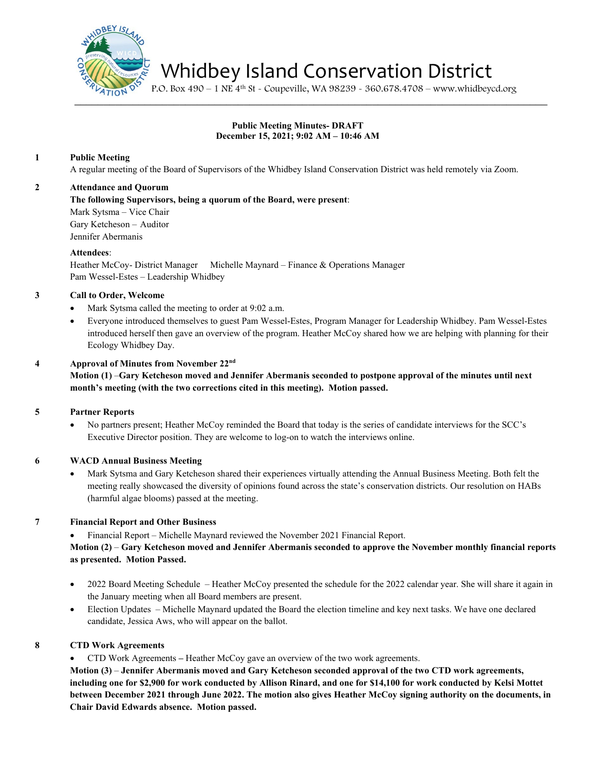

Whidbey Island Conservation District

P.O. Box 490 – 1 NE 4th St - Coupeville, WA 98239 - 360.678.4708 – www.whidbeycd.org

# **Public Meeting Minutes- DRAFT December 15, 2021; 9:02 AM – 10:46 AM**

 $\mathcal{L} = \mathcal{L} \mathcal{L}$ 

# **1 Public Meeting**

A regular meeting of the Board of Supervisors of the Whidbey Island Conservation District was held remotely via Zoom.

## **2 Attendance and Quorum**

## **The following Supervisors, being a quorum of the Board, were present**:

Mark Sytsma – Vice Chair Gary Ketcheson – Auditor Jennifer Abermanis

## **Attendees**:

Heather McCoy- District Manager Michelle Maynard – Finance & Operations Manager Pam Wessel-Estes – Leadership Whidbey

# **3 Call to Order, Welcome**

- Mark Sytsma called the meeting to order at 9:02 a.m.
- Everyone introduced themselves to guest Pam Wessel-Estes, Program Manager for Leadership Whidbey. Pam Wessel-Estes introduced herself then gave an overview of the program. Heather McCoy shared how we are helping with planning for their Ecology Whidbey Day.

# **4 Approval of Minutes from November 22nd Motion (1)** –**Gary Ketcheson moved and Jennifer Abermanis seconded to postpone approval of the minutes until next month's meeting (with the two corrections cited in this meeting). Motion passed.**

## **5 Partner Reports**

• No partners present; Heather McCoy reminded the Board that today is the series of candidate interviews for the SCC's Executive Director position. They are welcome to log-on to watch the interviews online.

## **6 WACD Annual Business Meeting**

• Mark Sytsma and Gary Ketcheson shared their experiences virtually attending the Annual Business Meeting. Both felt the meeting really showcased the diversity of opinions found across the state's conservation districts. Our resolution on HABs (harmful algae blooms) passed at the meeting.

## **7 Financial Report and Other Business**

• Financial Report – Michelle Maynard reviewed the November 2021 Financial Report.

# **Motion (2)** – **Gary Ketcheson moved and Jennifer Abermanis seconded to approve the November monthly financial reports as presented. Motion Passed.**

- 2022 Board Meeting Schedule Heather McCoy presented the schedule for the 2022 calendar year. She will share it again in the January meeting when all Board members are present.
- Election Updates Michelle Maynard updated the Board the election timeline and key next tasks. We have one declared candidate, Jessica Aws, who will appear on the ballot.

## **8 CTD Work Agreements**

• CTD Work Agreements **–** Heather McCoy gave an overview of the two work agreements.

**Motion (3)** – **Jennifer Abermanis moved and Gary Ketcheson seconded approval of the two CTD work agreements, including one for \$2,900 for work conducted by Allison Rinard, and one for \$14,100 for work conducted by Kelsi Mottet between December 2021 through June 2022. The motion also gives Heather McCoy signing authority on the documents, in Chair David Edwards absence. Motion passed.**